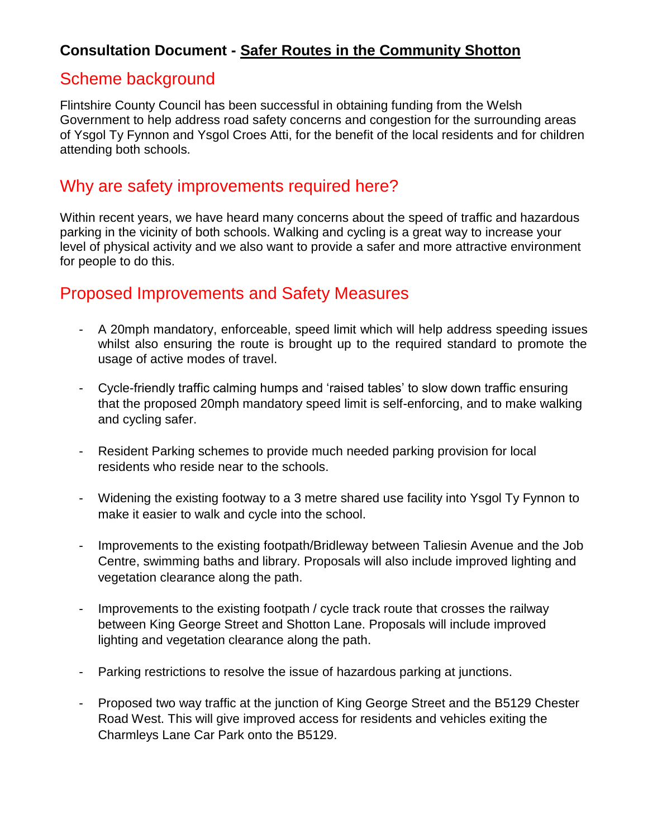#### **Consultation Document - Safer Routes in the Community Shotton**

# Scheme background

Flintshire County Council has been successful in obtaining funding from the Welsh Government to help address road safety concerns and congestion for the surrounding areas of Ysgol Ty Fynnon and Ysgol Croes Atti, for the benefit of the local residents and for children attending both schools.

## Why are safety improvements required here?

Within recent years, we have heard many concerns about the speed of traffic and hazardous parking in the vicinity of both schools. Walking and cycling is a great way to increase your level of physical activity and we also want to provide a safer and more attractive environment for people to do this.

# Proposed Improvements and Safety Measures

- A 20mph mandatory, enforceable, speed limit which will help address speeding issues whilst also ensuring the route is brought up to the required standard to promote the usage of active modes of travel.
- Cycle-friendly traffic calming humps and 'raised tables' to slow down traffic ensuring that the proposed 20mph mandatory speed limit is self-enforcing, and to make walking and cycling safer.
- Resident Parking schemes to provide much needed parking provision for local residents who reside near to the schools.
- Widening the existing footway to a 3 metre shared use facility into Ysgol Ty Fynnon to make it easier to walk and cycle into the school.
- Improvements to the existing footpath/Bridleway between Taliesin Avenue and the Job Centre, swimming baths and library. Proposals will also include improved lighting and vegetation clearance along the path.
- Improvements to the existing footpath / cycle track route that crosses the railway between King George Street and Shotton Lane. Proposals will include improved lighting and vegetation clearance along the path.
- Parking restrictions to resolve the issue of hazardous parking at junctions.
- Proposed two way traffic at the junction of King George Street and the B5129 Chester Road West. This will give improved access for residents and vehicles exiting the Charmleys Lane Car Park onto the B5129.